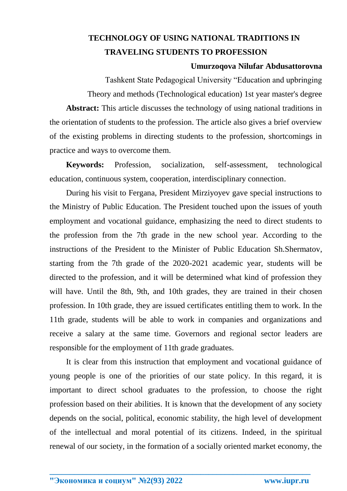## **TECHNOLOGY OF USING NATIONAL TRADITIONS IN TRAVELING STUDENTS TO PROFESSION**

## **Umurzoqova Nilufar Abdusattorovna**

Tashkent State Pedagogical University "Education and upbringing Theory and methods (Technological education) 1st year master's degree

**Abstract:** This article discusses the technology of using national traditions in the orientation of students to the profession. The article also gives a brief overview of the existing problems in directing students to the profession, shortcomings in practice and ways to overcome them.

**Keywords:** Profession, socialization, self-assessment, technological education, continuous system, cooperation, interdisciplinary connection.

During his visit to Fergana, President Mirziyoyev gave special instructions to the Ministry of Public Education. The President touched upon the issues of youth employment and vocational guidance, emphasizing the need to direct students to the profession from the 7th grade in the new school year. According to the instructions of the President to the Minister of Public Education Sh.Shermatov, starting from the 7th grade of the 2020-2021 academic year, students will be directed to the profession, and it will be determined what kind of profession they will have. Until the 8th, 9th, and 10th grades, they are trained in their chosen profession. In 10th grade, they are issued certificates entitling them to work. In the 11th grade, students will be able to work in companies and organizations and receive a salary at the same time. Governors and regional sector leaders are responsible for the employment of 11th grade graduates.

It is clear from this instruction that employment and vocational guidance of young people is one of the priorities of our state policy. In this regard, it is important to direct school graduates to the profession, to choose the right profession based on their abilities. It is known that the development of any society depends on the social, political, economic stability, the high level of development of the intellectual and moral potential of its citizens. Indeed, in the spiritual renewal of our society, in the formation of a socially oriented market economy, the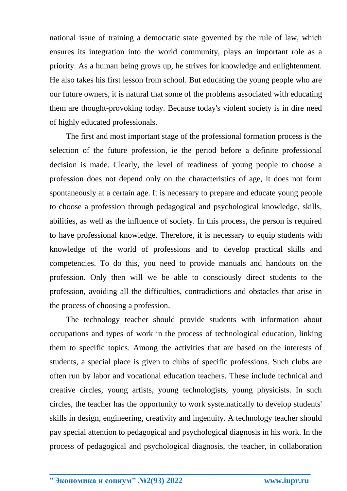national issue of training a democratic state governed by the rule of law, which ensures its integration into the world community, plays an important role as a priority. As a human being grows up, he strives for knowledge and enlightenment. He also takes his first lesson from school. But educating the young people who are our future owners, it is natural that some of the problems associated with educating them are thought-provoking today. Because today's violent society is in dire need of highly educated professionals.

The first and most important stage of the professional formation process is the selection of the future profession, ie the period before a definite professional decision is made. Clearly, the level of readiness of young people to choose a profession does not depend only on the characteristics of age, it does not form spontaneously at a certain age. It is necessary to prepare and educate young people to choose a profession through pedagogical and psychological knowledge, skills, abilities, as well as the influence of society. In this process, the person is required to have professional knowledge. Therefore, it is necessary to equip students with knowledge of the world of professions and to develop practical skills and competencies. To do this, you need to provide manuals and handouts on the profession. Only then will we be able to consciously direct students to the profession, avoiding all the difficulties, contradictions and obstacles that arise in the process of choosing a profession.

The technology teacher should provide students with information about occupations and types of work in the process of technological education, linking them to specific topics. Among the activities that are based on the interests of students, a special place is given to clubs of specific professions. Such clubs are often run by labor and vocational education teachers. These include technical and creative circles, young artists, young technologists, young physicists. In such circles, the teacher has the opportunity to work systematically to develop students' skills in design, engineering, creativity and ingenuity. A technology teacher should pay special attention to pedagogical and psychological diagnosis in his work. In the process of pedagogical and psychological diagnosis, the teacher, in collaboration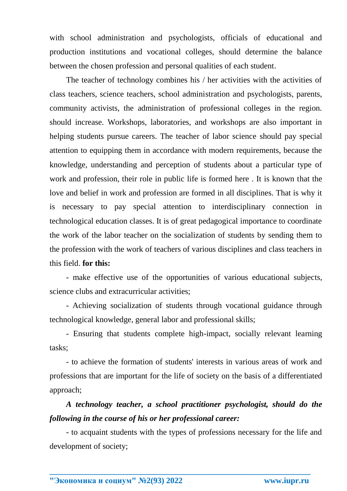with school administration and psychologists, officials of educational and production institutions and vocational colleges, should determine the balance between the chosen profession and personal qualities of each student.

The teacher of technology combines his / her activities with the activities of class teachers, science teachers, school administration and psychologists, parents, community activists, the administration of professional colleges in the region. should increase. Workshops, laboratories, and workshops are also important in helping students pursue careers. The teacher of labor science should pay special attention to equipping them in accordance with modern requirements, because the knowledge, understanding and perception of students about a particular type of work and profession, their role in public life is formed here . It is known that the love and belief in work and profession are formed in all disciplines. That is why it is necessary to pay special attention to interdisciplinary connection in technological education classes. It is of great pedagogical importance to coordinate the work of the labor teacher on the socialization of students by sending them to the profession with the work of teachers of various disciplines and class teachers in this field. **for this:**

- make effective use of the opportunities of various educational subjects, science clubs and extracurricular activities;

- Achieving socialization of students through vocational guidance through technological knowledge, general labor and professional skills;

- Ensuring that students complete high-impact, socially relevant learning tasks;

- to achieve the formation of students' interests in various areas of work and professions that are important for the life of society on the basis of a differentiated approach;

## *A technology teacher, a school practitioner psychologist, should do the following in the course of his or her professional career:*

- to acquaint students with the types of professions necessary for the life and development of society;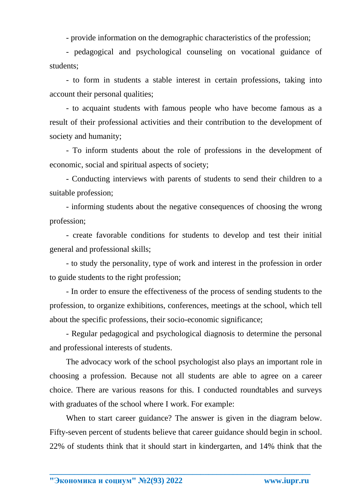- provide information on the demographic characteristics of the profession;

- pedagogical and psychological counseling on vocational guidance of students;

- to form in students a stable interest in certain professions, taking into account their personal qualities;

- to acquaint students with famous people who have become famous as a result of their professional activities and their contribution to the development of society and humanity;

- To inform students about the role of professions in the development of economic, social and spiritual aspects of society;

- Conducting interviews with parents of students to send their children to a suitable profession;

- informing students about the negative consequences of choosing the wrong profession;

- create favorable conditions for students to develop and test their initial general and professional skills;

- to study the personality, type of work and interest in the profession in order to guide students to the right profession;

- In order to ensure the effectiveness of the process of sending students to the profession, to organize exhibitions, conferences, meetings at the school, which tell about the specific professions, their socio-economic significance;

- Regular pedagogical and psychological diagnosis to determine the personal and professional interests of students.

The advocacy work of the school psychologist also plays an important role in choosing a profession. Because not all students are able to agree on a career choice. There are various reasons for this. I conducted roundtables and surveys with graduates of the school where I work. For example:

When to start career guidance? The answer is given in the diagram below. Fifty-seven percent of students believe that career guidance should begin in school. 22% of students think that it should start in kindergarten, and 14% think that the